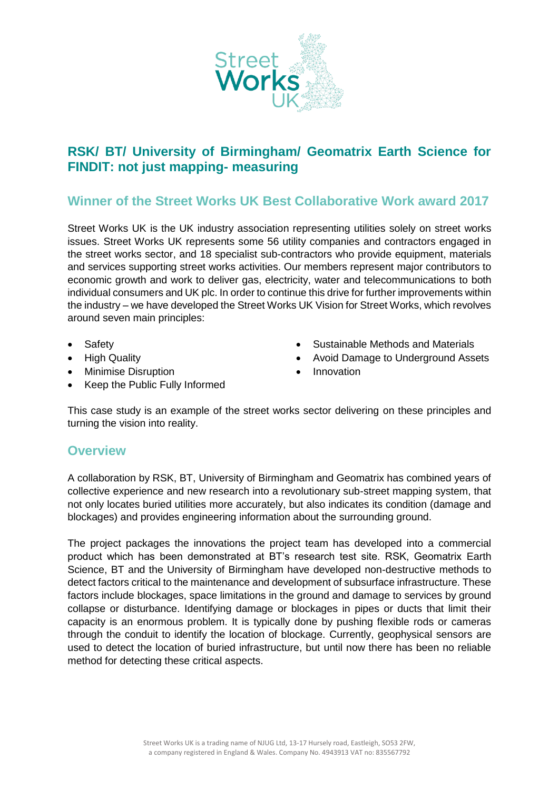

## **RSK/ BT/ University of Birmingham/ Geomatrix Earth Science for FINDIT: not just mapping- measuring**

## **Winner of the Street Works UK Best Collaborative Work award 2017**

Street Works UK is the UK industry association representing utilities solely on street works issues. Street Works UK represents some 56 utility companies and contractors engaged in the street works sector, and 18 specialist sub-contractors who provide equipment, materials and services supporting street works activities. Our members represent major contributors to economic growth and work to deliver gas, electricity, water and telecommunications to both individual consumers and UK plc. In order to continue this drive for further improvements within the industry – we have developed the Street Works UK Vision for Street Works, which revolves around seven main principles:

- **Safety**
- High Quality
- Minimise Disruption
- Sustainable Methods and Materials
- Avoid Damage to Underground Assets
- Innovation
- Keep the Public Fully Informed

This case study is an example of the street works sector delivering on these principles and turning the vision into reality.

## **Overview**

A collaboration by RSK, BT, University of Birmingham and Geomatrix has combined years of collective experience and new research into a revolutionary sub-street mapping system, that not only locates buried utilities more accurately, but also indicates its condition (damage and blockages) and provides engineering information about the surrounding ground.

The project packages the innovations the project team has developed into a commercial product which has been demonstrated at BT's research test site. RSK, Geomatrix Earth Science, BT and the University of Birmingham have developed non-destructive methods to detect factors critical to the maintenance and development of subsurface infrastructure. These factors include blockages, space limitations in the ground and damage to services by ground collapse or disturbance. Identifying damage or blockages in pipes or ducts that limit their capacity is an enormous problem. It is typically done by pushing flexible rods or cameras through the conduit to identify the location of blockage. Currently, geophysical sensors are used to detect the location of buried infrastructure, but until now there has been no reliable method for detecting these critical aspects.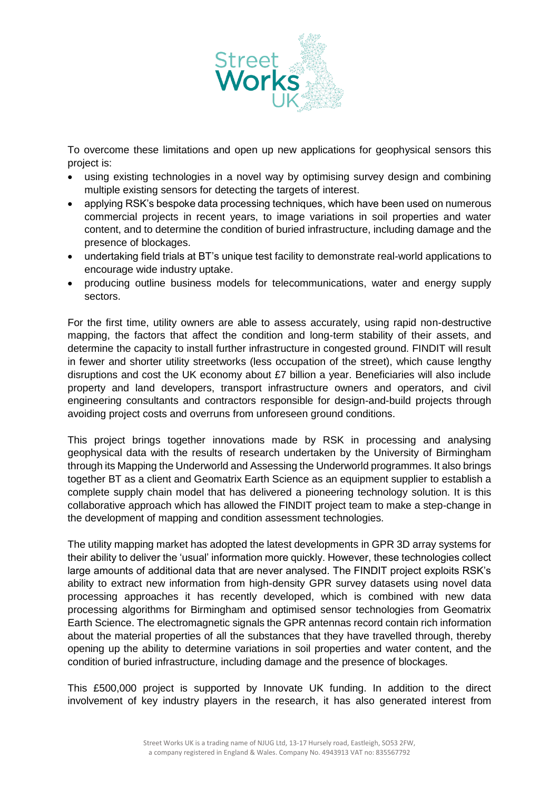

To overcome these limitations and open up new applications for geophysical sensors this project is:

- using existing technologies in a novel way by optimising survey design and combining multiple existing sensors for detecting the targets of interest.
- applying RSK's bespoke data processing techniques, which have been used on numerous commercial projects in recent years, to image variations in soil properties and water content, and to determine the condition of buried infrastructure, including damage and the presence of blockages.
- undertaking field trials at BT's unique test facility to demonstrate real-world applications to encourage wide industry uptake.
- producing outline business models for telecommunications, water and energy supply sectors.

For the first time, utility owners are able to assess accurately, using rapid non-destructive mapping, the factors that affect the condition and long-term stability of their assets, and determine the capacity to install further infrastructure in congested ground. FINDIT will result in fewer and shorter utility streetworks (less occupation of the street), which cause lengthy disruptions and cost the UK economy about £7 billion a year. Beneficiaries will also include property and land developers, transport infrastructure owners and operators, and civil engineering consultants and contractors responsible for design-and-build projects through avoiding project costs and overruns from unforeseen ground conditions.

This project brings together innovations made by RSK in processing and analysing geophysical data with the results of research undertaken by the University of Birmingham through its Mapping the Underworld and Assessing the Underworld programmes. It also brings together BT as a client and Geomatrix Earth Science as an equipment supplier to establish a complete supply chain model that has delivered a pioneering technology solution. It is this collaborative approach which has allowed the FINDIT project team to make a step-change in the development of mapping and condition assessment technologies.

The utility mapping market has adopted the latest developments in GPR 3D array systems for their ability to deliver the 'usual' information more quickly. However, these technologies collect large amounts of additional data that are never analysed. The FINDIT project exploits RSK's ability to extract new information from high-density GPR survey datasets using novel data processing approaches it has recently developed, which is combined with new data processing algorithms for Birmingham and optimised sensor technologies from Geomatrix Earth Science. The electromagnetic signals the GPR antennas record contain rich information about the material properties of all the substances that they have travelled through, thereby opening up the ability to determine variations in soil properties and water content, and the condition of buried infrastructure, including damage and the presence of blockages.

This £500,000 project is supported by Innovate UK funding. In addition to the direct involvement of key industry players in the research, it has also generated interest from